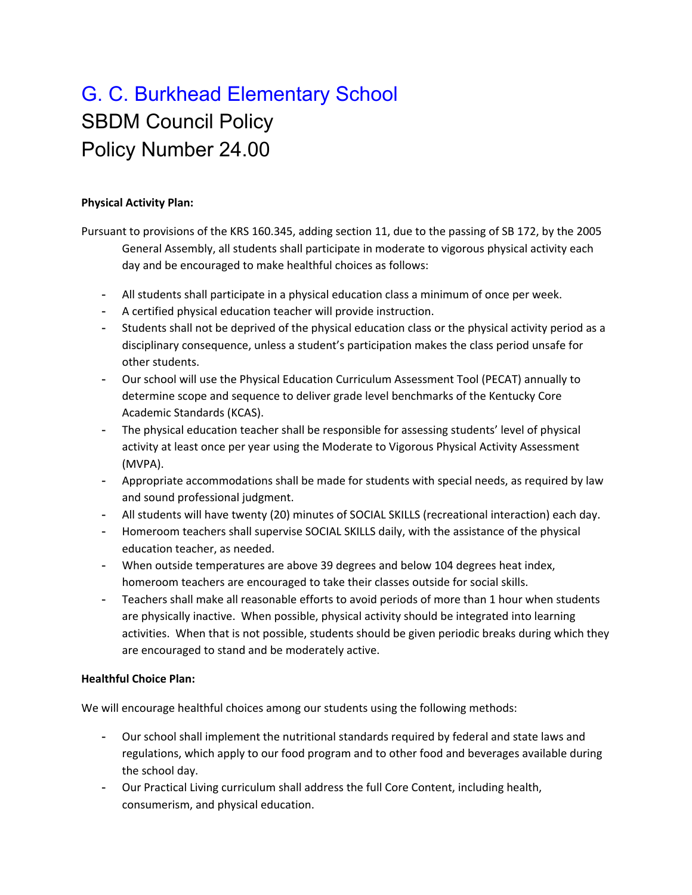# G. C. Burkhead Elementary School SBDM Council Policy Policy Number 24.00

### **Physical Activity Plan:**

Pursuant to provisions of the KRS 160.345, adding section 11, due to the passing of SB 172, by the 2005 General Assembly, all students shall participate in moderate to vigorous physical activity each day and be encouraged to make healthful choices as follows:

- All students shall participate in a physical education class a minimum of once per week.
- A certified physical education teacher will provide instruction.
- Students shall not be deprived of the physical education class or the physical activity period as a disciplinary consequence, unless a student's participation makes the class period unsafe for other students.
- Our school will use the Physical Education Curriculum Assessment Tool (PECAT) annually to determine scope and sequence to deliver grade level benchmarks of the Kentucky Core Academic Standards (KCAS).
- The physical education teacher shall be responsible for assessing students' level of physical activity at least once per year using the Moderate to Vigorous Physical Activity Assessment (MVPA).
- Appropriate accommodations shall be made for students with special needs, as required by law and sound professional judgment.
- All students will have twenty (20) minutes of SOCIAL SKILLS (recreational interaction) each day.
- Homeroom teachers shall supervise SOCIAL SKILLS daily, with the assistance of the physical education teacher, as needed.
- When outside temperatures are above 39 degrees and below 104 degrees heat index, homeroom teachers are encouraged to take their classes outside for social skills.
- Teachers shall make all reasonable efforts to avoid periods of more than 1 hour when students are physically inactive. When possible, physical activity should be integrated into learning activities. When that is not possible, students should be given periodic breaks during which they are encouraged to stand and be moderately active.

## **Healthful Choice Plan:**

We will encourage healthful choices among our students using the following methods:

- Our school shall implement the nutritional standards required by federal and state laws and regulations, which apply to our food program and to other food and beverages available during the school day.
- Our Practical Living curriculum shall address the full Core Content, including health, consumerism, and physical education.